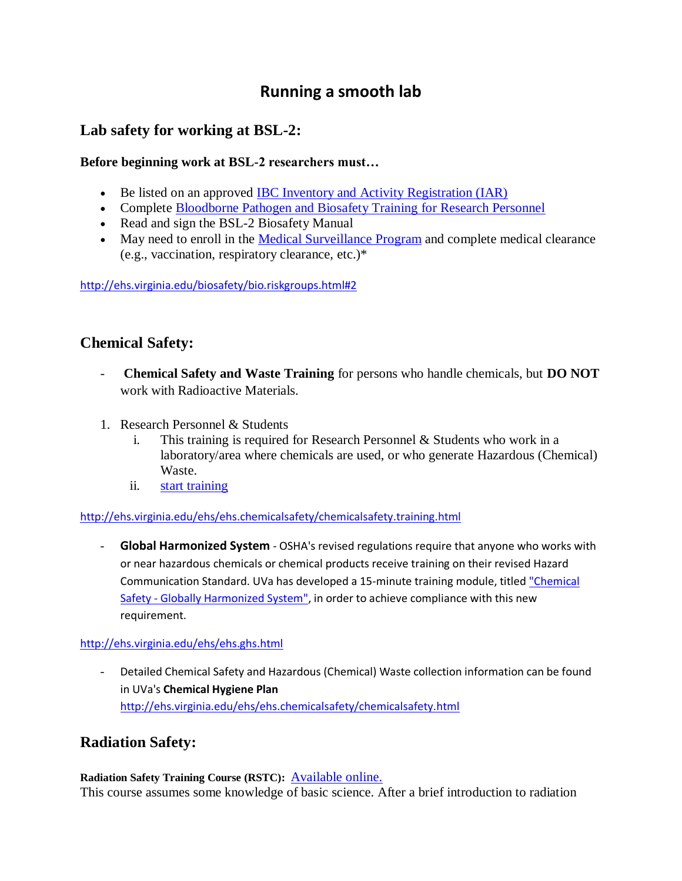# **Running a smooth lab**

## **Lab safety for working at BSL-2:**

#### **Before beginning work at BSL-2 researchers must…**

- Be listed on an approved [IBC Inventory and Activity](https://vprgsecure.web.virginia.edu/ibc/) Registration (IAR)
- Complete [Bloodborne Pathogen and Biosafety Training for Research Personnel](https://vprgsecure.web.virginia.edu/BBPathogens_Annual_Update_Training/training_Orientation/verify_login_credentials.cfm)
- Read and sign the BSL-2 Biosafety Manual
- May need to enroll in the [Medical Surveillance Program](http://ehs.virginia.edu/biosafety/bio.surveillance.html) and complete medical clearance (e.g., vaccination, respiratory clearance, etc.)\*

<http://ehs.virginia.edu/biosafety/bio.riskgroups.html#2>

### **Chemical Safety:**

- **Chemical Safety and Waste Training** for persons who handle chemicals, but **DO NOT** work with Radioactive Materials.
- 1. Research Personnel & Students
	- i. This training is required for Research Personnel & Students who work in a laboratory/area where chemicals are used, or who generate Hazardous (Chemical) Waste.
	- ii. start training

<http://ehs.virginia.edu/ehs/ehs.chemicalsafety/chemicalsafety.training.html>

- **Global Harmonized System** - OSHA's revised regulations require that anyone who works with or near hazardous chemicals or chemical products receive training on their revised Hazard Communication Standard. UVa has developed a 15-minute training module, titled ["Chemical](https://vprgsecure.web.virginia.edu/cst/ghs/verify_login_credentials.cfm)  Safety - [Globally Harmonized System",](https://vprgsecure.web.virginia.edu/cst/ghs/verify_login_credentials.cfm) in order to achieve compliance with this new requirement.

#### <http://ehs.virginia.edu/ehs/ehs.ghs.html>

- Detailed Chemical Safety and Hazardous (Chemical) Waste collection information can be found in UVa's **Chemical Hygiene Plan**  <http://ehs.virginia.edu/ehs/ehs.chemicalsafety/chemicalsafety.html>

# **Radiation Safety:**

Radiation Safety Training Course (RSTC): **Available online.** This course assumes some knowledge of basic science. After a brief introduction to radiation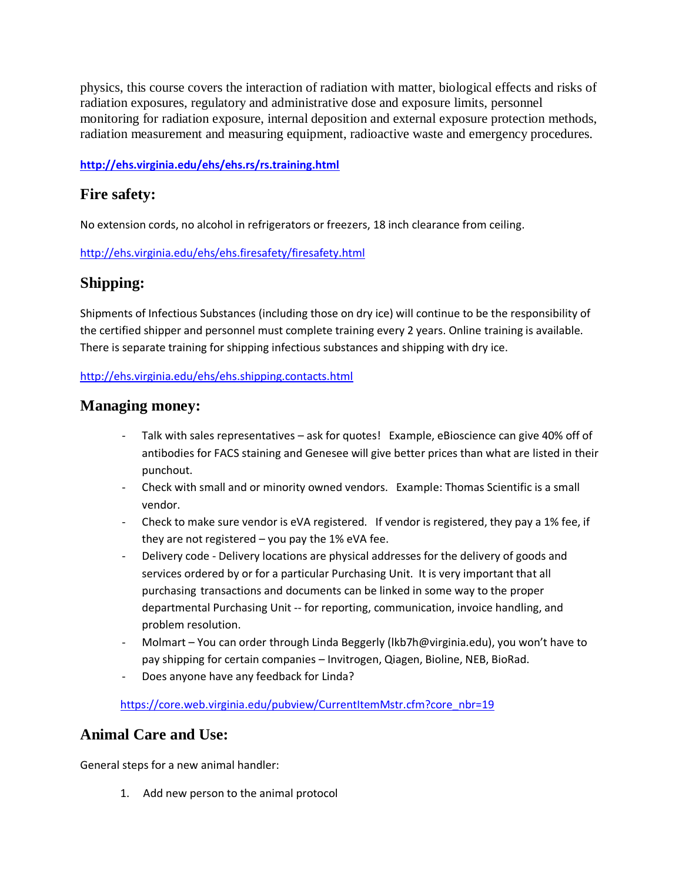physics, this course covers the interaction of radiation with matter, biological effects and risks of radiation exposures, regulatory and administrative dose and exposure limits, personnel monitoring for radiation exposure, internal deposition and external exposure protection methods, radiation measurement and measuring equipment, radioactive waste and emergency procedures.

#### **<http://ehs.virginia.edu/ehs/ehs.rs/rs.training.html>**

### **Fire safety:**

No extension cords, no alcohol in refrigerators or freezers, 18 inch clearance from ceiling.

<http://ehs.virginia.edu/ehs/ehs.firesafety/firesafety.html>

# **Shipping:**

Shipments of Infectious Substances (including those on dry ice) will continue to be the responsibility of the certified shipper and personnel must complete training every 2 years. Online training is available. There is separate training for shipping infectious substances and shipping with dry ice.

#### <http://ehs.virginia.edu/ehs/ehs.shipping.contacts.html>

### **Managing money:**

- Talk with sales representatives ask for quotes! Example, eBioscience can give 40% off of antibodies for FACS staining and Genesee will give better prices than what are listed in their punchout.
- Check with small and or minority owned vendors. Example: Thomas Scientific is a small vendor.
- Check to make sure vendor is eVA registered. If vendor is registered, they pay a 1% fee, if they are not registered  $-$  you pay the 1% eVA fee.
- Delivery code Delivery locations are physical addresses for the delivery of goods and services ordered by or for a particular Purchasing Unit. It is very important that all purchasing transactions and documents can be linked in some way to the proper departmental Purchasing Unit -- for reporting, communication, invoice handling, and problem resolution.
- Molmart You can order through Linda Beggerly (lkb7h@virginia.edu), you won't have to pay shipping for certain companies – Invitrogen, Qiagen, Bioline, NEB, BioRad.
- Does anyone have any feedback for Linda?

[https://core.web.virginia.edu/pubview/CurrentItemMstr.cfm?core\\_nbr=19](https://core.web.virginia.edu/pubview/CurrentItemMstr.cfm?core_nbr=19)

### **Animal Care and Use:**

General steps for a new animal handler:

1. Add new person to the animal protocol